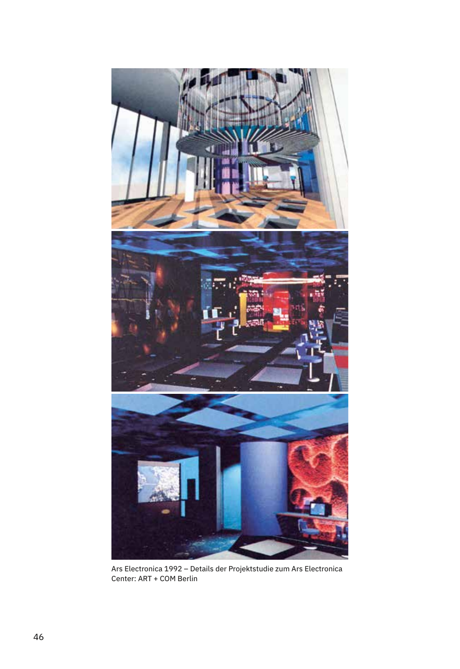

Ars Electronica 1992 – Details der Projektstudie zum Ars Electronica Center: ART + COM Berlin